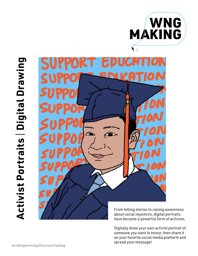

# **Activist Portraits** I **Digital Drawing Activist Portraits | Digital Drawing**



From telling stories to raising awareness about social injustices, digital portraits have become a powerful form of activism.

Digitally draw your own activist portrait of someone you want to honor, then share it on your favorite social media platform and spread your message!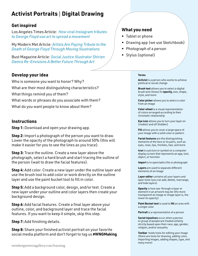# **Activist Portraits** I **Digital Drawing**

### **Get inspired**

Los Angeles Times Article: *How viral Instagram tributes to George Floyd use art to spread a movement*

My Modern Met Article: *[Artists Are Paying Tribute to the](https://www.latimes.com/entertainment-arts/story/2020-06-02/george-floyd-instagram-art-tributes-portraits)  [Death of George Floyd Through Moving Illustrations](https://www.latimes.com/entertainment-arts/story/2020-06-02/george-floyd-instagram-art-tributes-portraits)*

Bust Magazine Article: *[Social Justice Illustrator Shirien](https://www.latimes.com/entertainment-arts/story/2020-06-02/george-floyd-instagram-art-tributes-portraits)  [Damra Re-Envisions A Better Future Through A](https://www.latimes.com/entertainment-arts/story/2020-06-02/george-floyd-instagram-art-tributes-portraits)rt*

## **Develop your idea**

Who is someone you want to honor? Why? What are their most distinguishing characteristics? What things remind you of them? What words or phrases do you associate with them? What do you want people to know about them?

### **Instructions**

**Step 1:** Download and open your drawing app.

**Step 2:** Import a photograph of the person you want to draw. Lower the opacity of the photograph to around 50% (this will make it easier for you to see the lines as you trace).

**Step 3:** Trace the outline. Create a new layer above the photograph, select a hard brush and start tracing the outline of the person (wait to draw the facial features).

**Step 4:** Add color. Create a new layer under the outline layer and use the brush tool to add color or work directly on the outline layer and use the paint bucket tool to fill in color.

**Step 5:** Add a background color, design, and/or text. Create a new layer under your outline and color layers then create your background design.

**Step 6:** Add facial features. Create a final layer above your outline, color, and background layer and trace the facial features. If you want to keep it simple, skip this step.

**Step 7:** Add finishing details.

**Step 8:** Share your finished activist portrait on your favorite social media platform and don't forget to tag us **#WNGMaking**.

### **What you need**

- Tablet or phone
- Drawing app (we use Sketchbook)
- Photograph of a person
- Stylus (optional)

### **Terms**

**Activist** is a person who works to achieve political or social change

**Brush tool** allows you to select a digital brush and choose its **opacity,** size, shape, style, and more

**Color picker** allows you to select a color from an image

**Color wheel** is a visual representation of colors arranged according to their chromatic relationship

**Eye icon** allows you to turn your layer on (visible) and off (hidden)

**Fill** allows you to cover a large space of your image with a solid color or pattern

**Facial features** are the distinguishing elements of the face or its parts, such as eyes, nose, lips, freckles, hair, and more

**Icon** is a picture or symbol on a computer display screen that represents an app, tool, object, or function

**Import** is to open/add a file or photograph

**Layers** are used to separate different elements of an image

**Layer editor** contains all your layers and layer tools (you can add, delete, rearrange, and hide layers)

**Opacity** is how see-through a layer or element in an artwork may be (the more transparent an image or image layer is, the lower its opacity)

**Paint Bucket tool** is used to **fill** an area with a single color

**Portrait** is a representation of a person

**Social injustices** occur when a person or group of people are treated unfairly strictly based upon their race, age, gender, religion, and/or sexuality

**Toolbar** holds tools for editing your image (there are tools for drawing, adding color, importing images, adding shapes, type, and many more)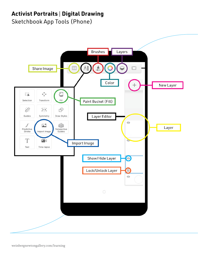# **Activist Portraits** I **Digital Drawing**

Sketchbook App Tools (Phone)